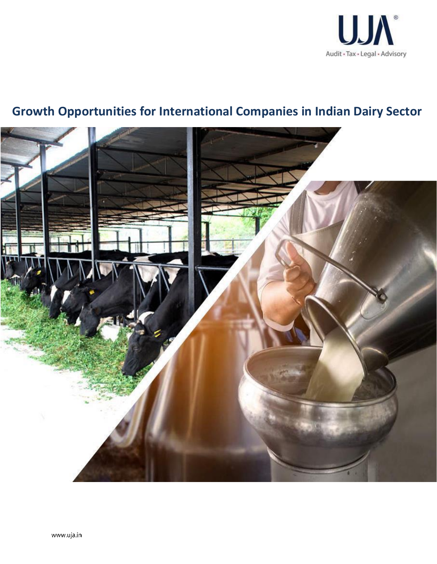

# **Growth Opportunities for International Companies in Indian Dairy Sector**

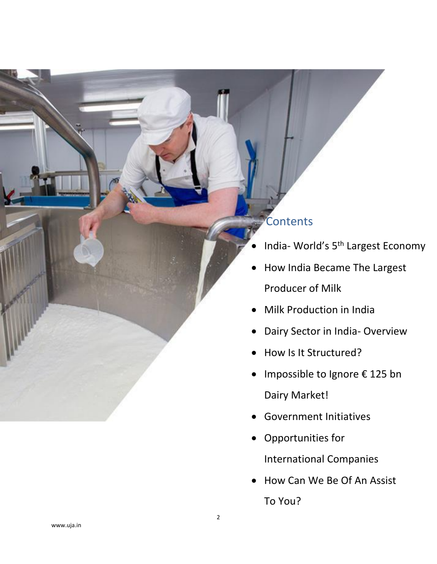## **Contents**

- India- World's 5<sup>th</sup> Largest Economy
- How India Became The Largest Producer of Milk
- Milk Production in India
- Dairy Sector in India- Overview
- How Is It Structured?
- Impossible to Ignore € 125 bn Dairy Market!
- Government Initiatives
- Opportunities for International Companies
- How Can We Be Of An Assist To You?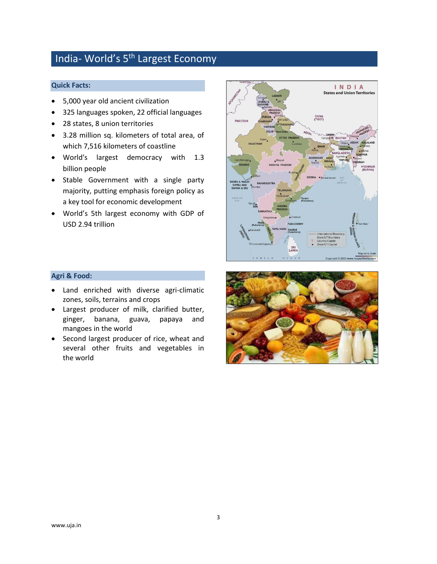## India- World's 5<sup>th</sup> Largest Economy

#### **Quick Facts:**

- 5,000 year old ancient civilization
- 325 languages spoken, 22 official languages
- 28 states, 8 union territories
- 3.28 million sq. kilometers of total area, of which 7,516 kilometers of coastline
- World's largest democracy with 1.3 billion people
- Stable Government with a single party majority, putting emphasis foreign policy as a key tool for economic development
- World's 5th largest economy with GDP of USD 2.94 trillion



#### **Agri & Food:**

- Land enriched with diverse agri-climatic zones, soils, terrains and crops
- Largest producer of milk, clarified butter, ginger, banana, guava, papaya and mangoes in the world
- Second largest producer of rice, wheat and several other fruits and vegetables in the world

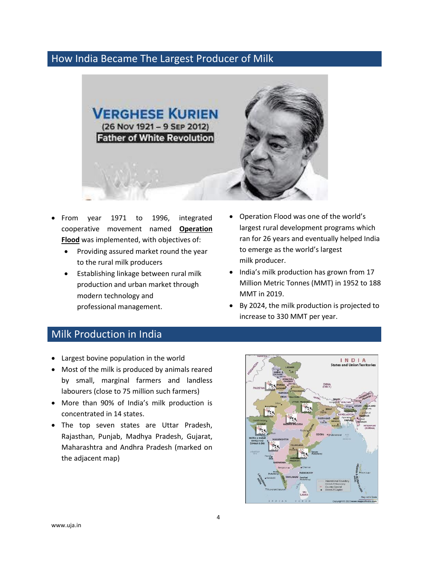#### How India Became The Largest Producer of Milk



- From year 1971 to 1996, integrated cooperative movement named **Operation Flood** was implemented, with objectives of:
	- Providing assured market round the year to the rural milk producers
	- Establishing linkage between rural milk production and urban market through modern technology and professional management.
- Operation Flood was one of the world's largest rural development programs which ran for 26 years and eventually helped India to emerge as the world's largest milk producer.
- India's milk production has grown from 17 Million Metric Tonnes (MMT) in 1952 to 188 MMT in 2019.
- By 2024, the milk production is projected to increase to 330 MMT per year.

#### Milk Production in India

- Largest bovine population in the world
- Most of the milk is produced by animals reared by small, marginal farmers and landless labourers (close to 75 million such farmers)
- More than 90% of India's milk production is concentrated in 14 states.
- The top seven states are Uttar Pradesh, Rajasthan, Punjab, Madhya Pradesh, Gujarat, Maharashtra and Andhra Pradesh (marked on the adjacent map)

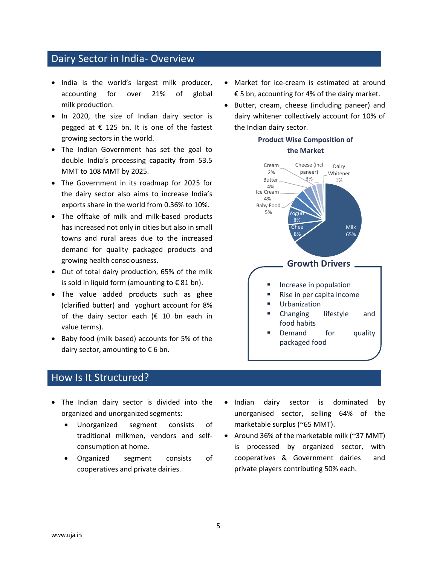#### Dairy Sector in India- Overview

- India is the world's largest milk producer, accounting for over 21% of global milk production.
- In 2020, the size of Indian dairy sector is pegged at  $\epsilon$  125 bn. It is one of the fastest growing sectors in the world.
- The Indian Government has set the goal to double India's processing capacity from 53.5 MMT to 108 MMT by 2025.
- The Government in its roadmap for 2025 for the dairy sector also aims to increase India's exports share in the world from 0.36% to 10%.
- The offtake of milk and milk-based products has increased not only in cities but also in small towns and rural areas due to the increased demand for quality packaged products and growing health consciousness.
- Out of total dairy production, 65% of the milk is sold in liquid form (amounting to  $\epsilon$  81 bn).
- The value added products such as ghee (clarified butter) and yoghurt account for 8% of the dairy sector each ( $\epsilon$  10 bn each in value terms).
- Baby food (milk based) accounts for 5% of the dairy sector, amounting to  $\epsilon$  6 bn.

## How Is It Structured?

- The Indian dairy sector is divided into the organized and unorganized segments:
	- Unorganized segment consists of traditional milkmen, vendors and selfconsumption at home.
	- Organized segment consists of cooperatives and private dairies.
- Market for ice-cream is estimated at around € 5 bn, accounting for 4% of the dairy market.
- Butter, cream, cheese (including paneer) and dairy whitener collectively account for 10% of the Indian dairy sector.

## **Product Wise Composition of**

#### **the Market**



- Indian dairy sector is dominated by unorganised sector, selling 64% of the marketable surplus (~65 MMT).
- Around 36% of the marketable milk (~37 MMT) is processed by organized sector, with cooperatives & Government dairies and private players contributing 50% each.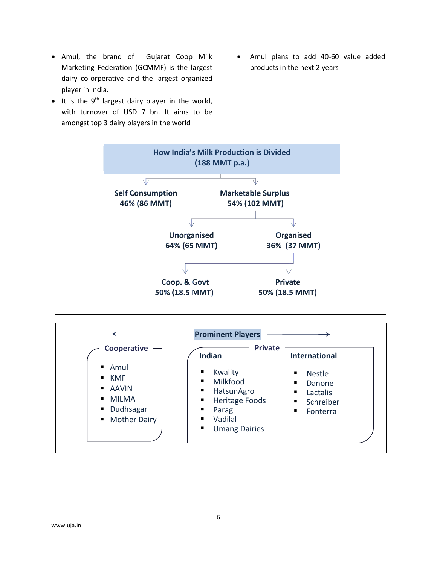- Amul, the brand of Gujarat Coop Milk Marketing Federation (GCMMF) is the largest dairy co-orperative and the largest organized player in India.
- It is the  $9<sup>th</sup>$  largest dairy player in the world, with turnover of USD 7 bn. It aims to be amongst top 3 dairy players in the world
- Amul plans to add 40-60 value added products in the next 2 years

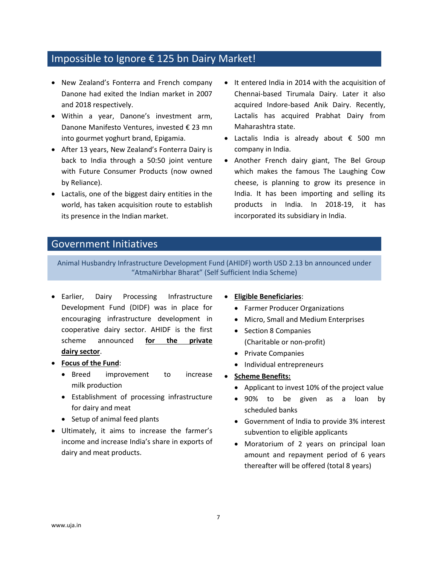### Impossible to Ignore € 125 bn Dairy Market!

- New Zealand's Fonterra and French company Danone had exited the Indian market in 2007 and 2018 respectively.
- Within a year, Danone's investment arm, Danone Manifesto Ventures, invested € 23 mn into gourmet yoghurt brand, Epigamia.
- After 13 years, New Zealand's Fonterra Dairy is back to India through a 50:50 joint venture with Future Consumer Products (now owned by Reliance).
- Lactalis, one of the biggest dairy entities in the world, has taken acquisition route to establish its presence in the Indian market.
- It entered India in 2014 with the acquisition of Chennai-based Tirumala Dairy. Later it also acquired Indore-based Anik Dairy. Recently, Lactalis has acquired Prabhat Dairy from Maharashtra state.
- Lactalis India is already about € 500 mn company in India.
- Another French dairy giant, The Bel Group which makes the famous The Laughing Cow cheese, is planning to grow its presence in India. It has been importing and selling its products in India. In 2018-19, it has incorporated its subsidiary in India.

#### Government Initiatives

Animal Husbandry Infrastructure Development Fund (AHIDF) worth USD 2.13 bn announced under "AtmaNirbhar Bharat" (Self Sufficient India Scheme)

- Earlier, Dairy Processing Infrastructure Development Fund (DIDF) was in place for encouraging infrastructure development in cooperative dairy sector. AHIDF is the first scheme announced **for the private dairy sector**.
- **Focus of the Fund**:
	- Breed improvement to increase milk production
	- Establishment of processing infrastructure for dairy and meat
	- Setup of animal feed plants
- Ultimately, it aims to increase the farmer's income and increase India's share in exports of dairy and meat products.
- **Eligible Beneficiaries**:
	- Farmer Producer Organizations
	- Micro, Small and Medium Enterprises
	- Section 8 Companies (Charitable or non-profit)
	- Private Companies
	- Individual entrepreneurs
- **Scheme Benefits:**
	- Applicant to invest 10% of the project value
	- 90% to be given as a loan by scheduled banks
	- Government of India to provide 3% interest subvention to eligible applicants
	- Moratorium of 2 years on principal loan amount and repayment period of 6 years thereafter will be offered (total 8 years)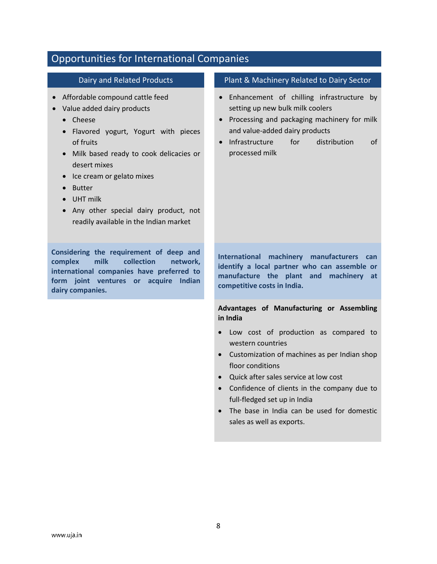| <b>Opportunities for International Companies</b>                                                                                                                                                                                                                                                                                                                                             |                                                                                                                                                                                                                                                                                                                                                |
|----------------------------------------------------------------------------------------------------------------------------------------------------------------------------------------------------------------------------------------------------------------------------------------------------------------------------------------------------------------------------------------------|------------------------------------------------------------------------------------------------------------------------------------------------------------------------------------------------------------------------------------------------------------------------------------------------------------------------------------------------|
| Dairy and Related Products                                                                                                                                                                                                                                                                                                                                                                   | Plant & Machinery Related to Dairy Sector                                                                                                                                                                                                                                                                                                      |
| Affordable compound cattle feed<br>Value added dairy products<br>Cheese<br>$\bullet$<br>Flavored yogurt, Yogurt with pieces<br>of fruits<br>Milk based ready to cook delicacies or<br>$\bullet$<br>desert mixes<br>Ice cream or gelato mixes<br>$\bullet$<br><b>Butter</b><br><b>UHT</b> milk<br>Any other special dairy product, not<br>$\bullet$<br>readily available in the Indian market | Enhancement of chilling infrastructure by<br>setting up new bulk milk coolers<br>Processing and packaging machinery for milk<br>and value-added dairy products<br>Infrastructure<br>distribution<br>for<br>of<br>$\bullet$<br>processed milk                                                                                                   |
| Considering the requirement of deep and<br>complex<br>milk<br>collection<br>network,<br>international companies have preferred to<br>form joint ventures or acquire Indian<br>dairy companies.                                                                                                                                                                                               | machinery manufacturers can<br><b>International</b><br>identify a local partner who can assemble or<br>manufacture the plant and machinery at<br>competitive costs in India.                                                                                                                                                                   |
|                                                                                                                                                                                                                                                                                                                                                                                              | Advantages of Manufacturing or Assembling<br>in India                                                                                                                                                                                                                                                                                          |
|                                                                                                                                                                                                                                                                                                                                                                                              | Low cost of production as compared to<br>western countries<br>Customization of machines as per Indian shop<br>floor conditions<br>Quick after sales service at low cost<br>$\bullet$<br>Confidence of clients in the company due to<br>full-fledged set up in India<br>The base in India can be used for domestic<br>sales as well as exports. |